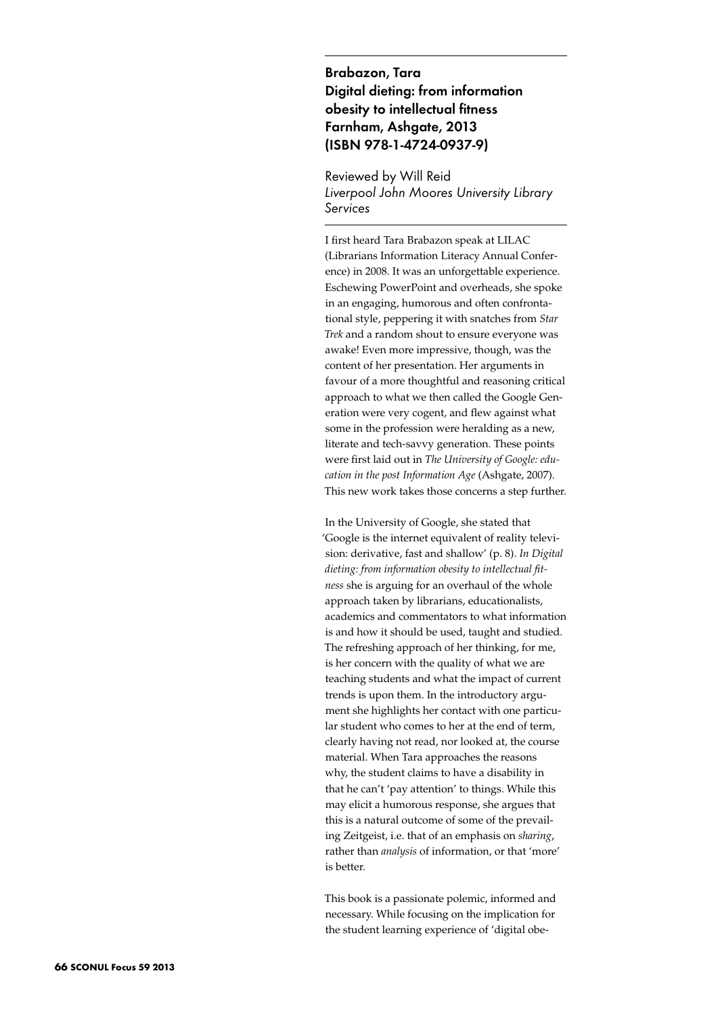Brabazon, Tara Digital dieting: from information obesity to intellectual fitness Farnham, Ashgate, 2013 (ISBN 978-1-4724-0937-9)

Reviewed by Will Reid *Liverpool John Moores University Library Services*

I first heard Tara Brabazon speak at LILAC (Librarians Information Literacy Annual Conference) in 2008. It was an unforgettable experience. Eschewing PowerPoint and overheads, she spoke in an engaging, humorous and often confrontational style, peppering it with snatches from *Star Trek* and a random shout to ensure everyone was awake! Even more impressive, though, was the content of her presentation. Her arguments in favour of a more thoughtful and reasoning critical approach to what we then called the Google Generation were very cogent, and flew against what some in the profession were heralding as a new, literate and tech-savvy generation. These points were first laid out in *The University of Google: education in the post Information Age* (Ashgate, 2007). This new work takes those concerns a step further.

In the University of Google, she stated that 'Google is the internet equivalent of reality television: derivative, fast and shallow' (p. 8). *In Digital dieting: from information obesity to intellectual fitness* she is arguing for an overhaul of the whole approach taken by librarians, educationalists, academics and commentators to what information is and how it should be used, taught and studied. The refreshing approach of her thinking, for me, is her concern with the quality of what we are teaching students and what the impact of current trends is upon them. In the introductory argument she highlights her contact with one particular student who comes to her at the end of term, clearly having not read, nor looked at, the course material. When Tara approaches the reasons why, the student claims to have a disability in that he can't 'pay attention' to things. While this may elicit a humorous response, she argues that this is a natural outcome of some of the prevailing Zeitgeist, i.e. that of an emphasis on *sharing*, rather than *analysis* of information, or that 'more' is better.

This book is a passionate polemic, informed and necessary. While focusing on the implication for the student learning experience of 'digital obe-